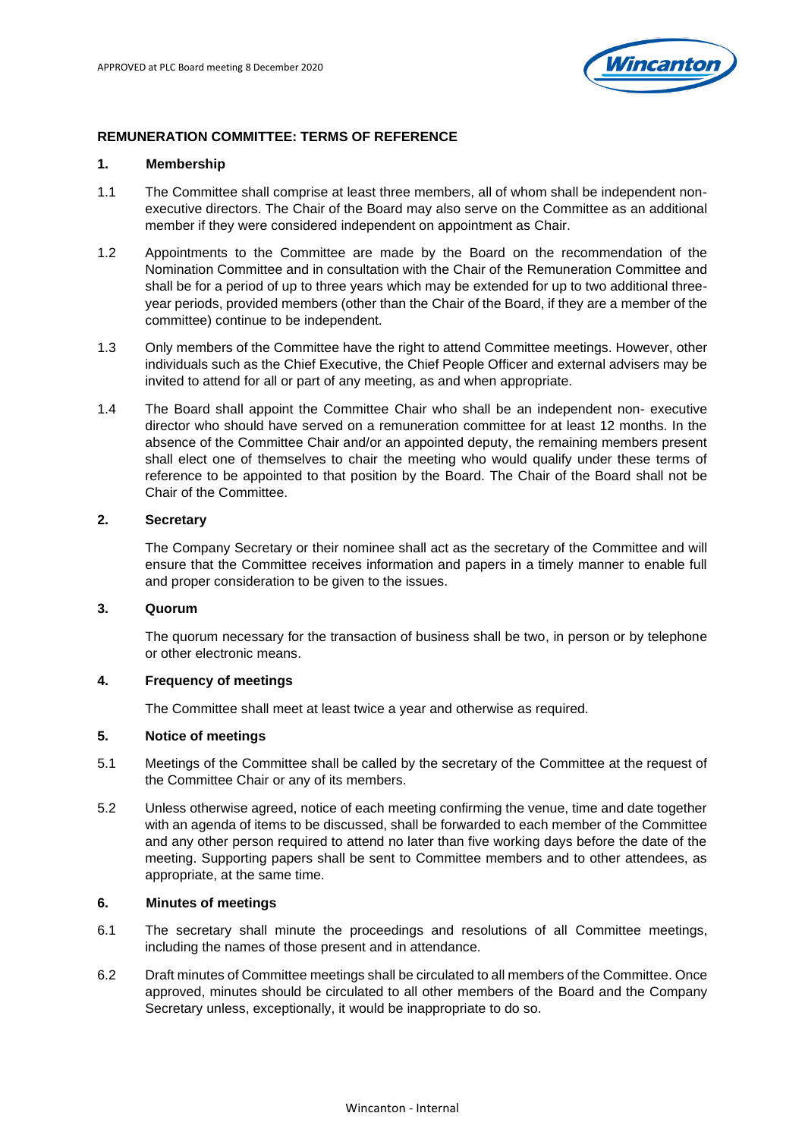

## **REMUNERATION COMMITTEE: TERMS OF REFERENCE**

#### **1. Membership**

- 1.1 The Committee shall comprise at least three members, all of whom shall be independent nonexecutive directors. The Chair of the Board may also serve on the Committee as an additional member if they were considered independent on appointment as Chair.
- 1.2 Appointments to the Committee are made by the Board on the recommendation of the Nomination Committee and in consultation with the Chair of the Remuneration Committee and shall be for a period of up to three years which may be extended for up to two additional threeyear periods, provided members (other than the Chair of the Board, if they are a member of the committee) continue to be independent.
- 1.3 Only members of the Committee have the right to attend Committee meetings. However, other individuals such as the Chief Executive, the Chief People Officer and external advisers may be invited to attend for all or part of any meeting, as and when appropriate.
- 1.4 The Board shall appoint the Committee Chair who shall be an independent non- executive director who should have served on a remuneration committee for at least 12 months. In the absence of the Committee Chair and/or an appointed deputy, the remaining members present shall elect one of themselves to chair the meeting who would qualify under these terms of reference to be appointed to that position by the Board. The Chair of the Board shall not be Chair of the Committee.

### **2. Secretary**

The Company Secretary or their nominee shall act as the secretary of the Committee and will ensure that the Committee receives information and papers in a timely manner to enable full and proper consideration to be given to the issues.

### **3. Quorum**

The quorum necessary for the transaction of business shall be two, in person or by telephone or other electronic means.

# **4. Frequency of meetings**

The Committee shall meet at least twice a year and otherwise as required.

# **5. Notice of meetings**

- 5.1 Meetings of the Committee shall be called by the secretary of the Committee at the request of the Committee Chair or any of its members.
- 5.2 Unless otherwise agreed, notice of each meeting confirming the venue, time and date together with an agenda of items to be discussed, shall be forwarded to each member of the Committee and any other person required to attend no later than five working days before the date of the meeting. Supporting papers shall be sent to Committee members and to other attendees, as appropriate, at the same time.

#### **6. Minutes of meetings**

- 6.1 The secretary shall minute the proceedings and resolutions of all Committee meetings, including the names of those present and in attendance.
- 6.2 Draft minutes of Committee meetings shall be circulated to all members of the Committee. Once approved, minutes should be circulated to all other members of the Board and the Company Secretary unless, exceptionally, it would be inappropriate to do so.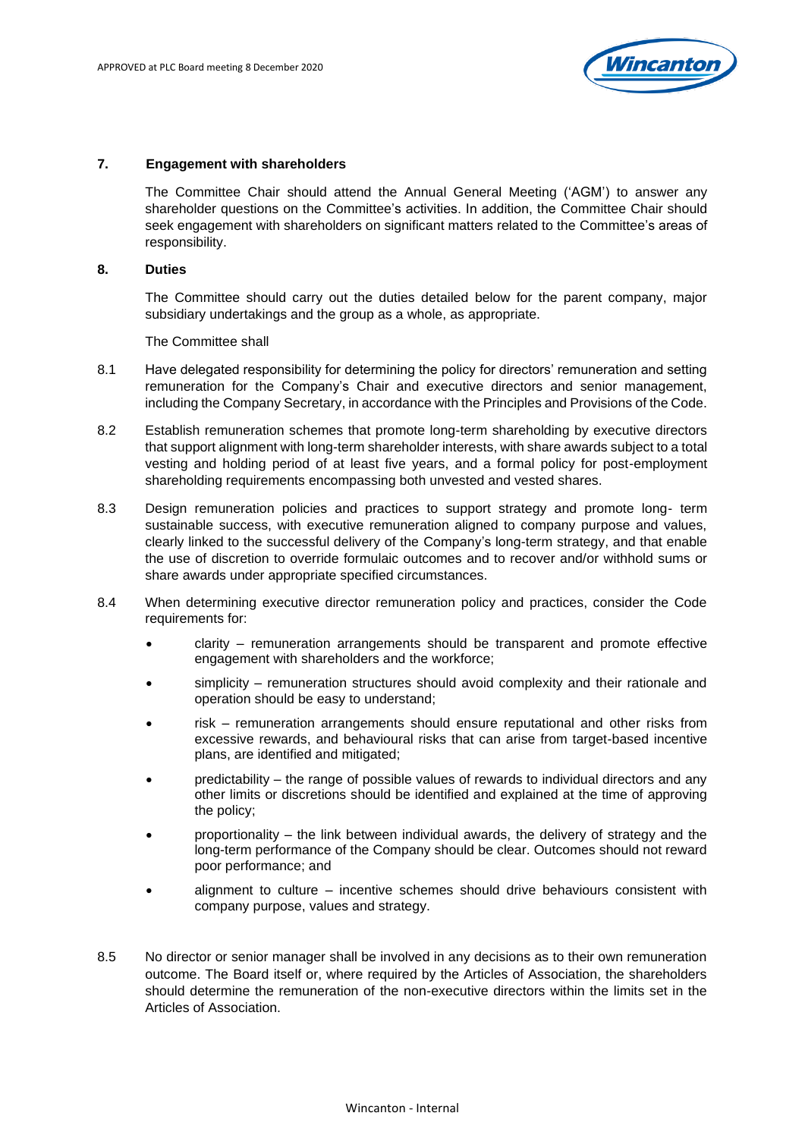

#### **7. Engagement with shareholders**

The Committee Chair should attend the Annual General Meeting ('AGM') to answer any shareholder questions on the Committee's activities. In addition, the Committee Chair should seek engagement with shareholders on significant matters related to the Committee's areas of responsibility.

#### **8. Duties**

The Committee should carry out the duties detailed below for the parent company, major subsidiary undertakings and the group as a whole, as appropriate.

The Committee shall

- 8.1 Have delegated responsibility for determining the policy for directors' remuneration and setting remuneration for the Company's Chair and executive directors and senior management, including the Company Secretary, in accordance with the Principles and Provisions of the Code.
- 8.2 Establish remuneration schemes that promote long-term shareholding by executive directors that support alignment with long-term shareholder interests, with share awards subject to a total vesting and holding period of at least five years, and a formal policy for post-employment shareholding requirements encompassing both unvested and vested shares.
- 8.3 Design remuneration policies and practices to support strategy and promote long- term sustainable success, with executive remuneration aligned to company purpose and values, clearly linked to the successful delivery of the Company's long-term strategy, and that enable the use of discretion to override formulaic outcomes and to recover and/or withhold sums or share awards under appropriate specified circumstances.
- 8.4 When determining executive director remuneration policy and practices, consider the Code requirements for:
	- clarity remuneration arrangements should be transparent and promote effective engagement with shareholders and the workforce;
	- simplicity remuneration structures should avoid complexity and their rationale and operation should be easy to understand;
	- risk remuneration arrangements should ensure reputational and other risks from excessive rewards, and behavioural risks that can arise from target-based incentive plans, are identified and mitigated;
	- predictability the range of possible values of rewards to individual directors and any other limits or discretions should be identified and explained at the time of approving the policy;
	- proportionality the link between individual awards, the delivery of strategy and the long-term performance of the Company should be clear. Outcomes should not reward poor performance; and
	- alignment to culture incentive schemes should drive behaviours consistent with company purpose, values and strategy.
- 8.5 No director or senior manager shall be involved in any decisions as to their own remuneration outcome. The Board itself or, where required by the Articles of Association, the shareholders should determine the remuneration of the non-executive directors within the limits set in the Articles of Association.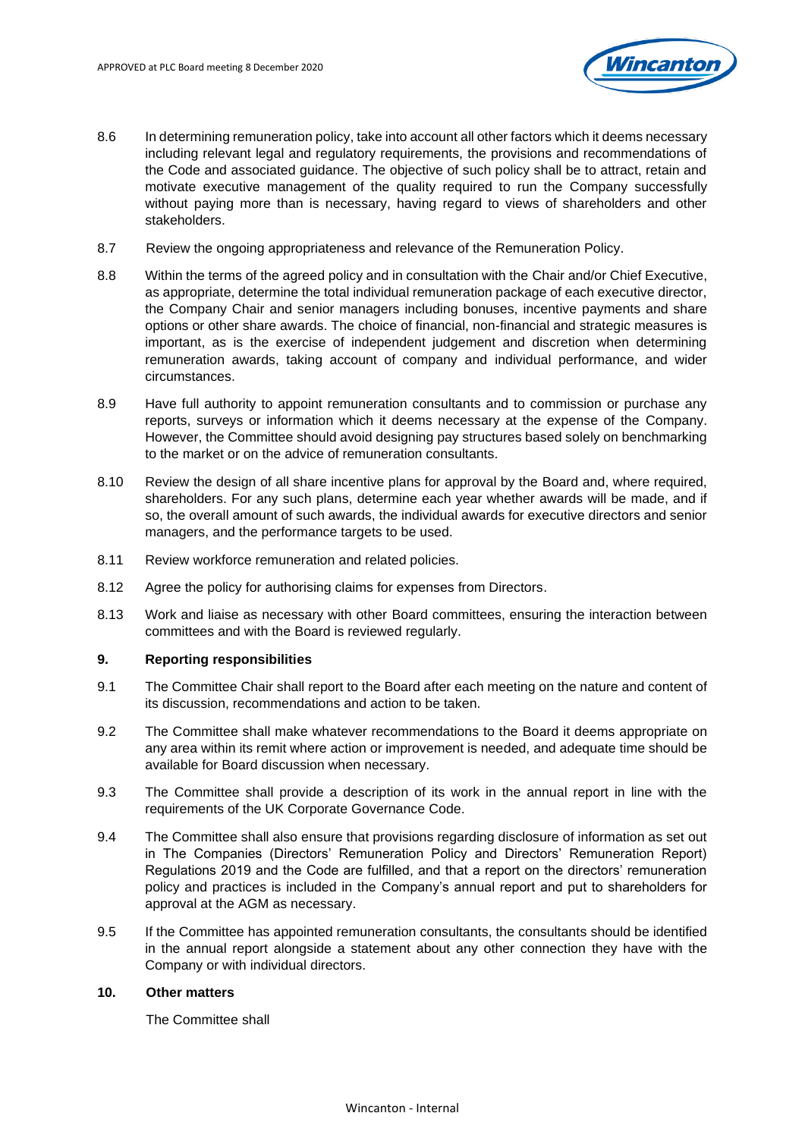

- 8.6 In determining remuneration policy, take into account all other factors which it deems necessary including relevant legal and regulatory requirements, the provisions and recommendations of the Code and associated guidance. The objective of such policy shall be to attract, retain and motivate executive management of the quality required to run the Company successfully without paying more than is necessary, having regard to views of shareholders and other stakeholders.
- 8.7 Review the ongoing appropriateness and relevance of the Remuneration Policy.
- 8.8 Within the terms of the agreed policy and in consultation with the Chair and/or Chief Executive, as appropriate, determine the total individual remuneration package of each executive director, the Company Chair and senior managers including bonuses, incentive payments and share options or other share awards. The choice of financial, non-financial and strategic measures is important, as is the exercise of independent judgement and discretion when determining remuneration awards, taking account of company and individual performance, and wider circumstances.
- 8.9 Have full authority to appoint remuneration consultants and to commission or purchase any reports, surveys or information which it deems necessary at the expense of the Company. However, the Committee should avoid designing pay structures based solely on benchmarking to the market or on the advice of remuneration consultants.
- 8.10 Review the design of all share incentive plans for approval by the Board and, where required, shareholders. For any such plans, determine each year whether awards will be made, and if so, the overall amount of such awards, the individual awards for executive directors and senior managers, and the performance targets to be used.
- 8.11 Review workforce remuneration and related policies.
- 8.12 Agree the policy for authorising claims for expenses from Directors.
- 8.13 Work and liaise as necessary with other Board committees, ensuring the interaction between committees and with the Board is reviewed regularly.

### **9. Reporting responsibilities**

- 9.1 The Committee Chair shall report to the Board after each meeting on the nature and content of its discussion, recommendations and action to be taken.
- 9.2 The Committee shall make whatever recommendations to the Board it deems appropriate on any area within its remit where action or improvement is needed, and adequate time should be available for Board discussion when necessary.
- 9.3 The Committee shall provide a description of its work in the annual report in line with the requirements of the UK Corporate Governance Code.
- 9.4 The Committee shall also ensure that provisions regarding disclosure of information as set out in The Companies (Directors' Remuneration Policy and Directors' Remuneration Report) Regulations 2019 and the Code are fulfilled, and that a report on the directors' remuneration policy and practices is included in the Company's annual report and put to shareholders for approval at the AGM as necessary.
- 9.5 If the Committee has appointed remuneration consultants, the consultants should be identified in the annual report alongside a statement about any other connection they have with the Company or with individual directors.

# **10. Other matters**

The Committee shall